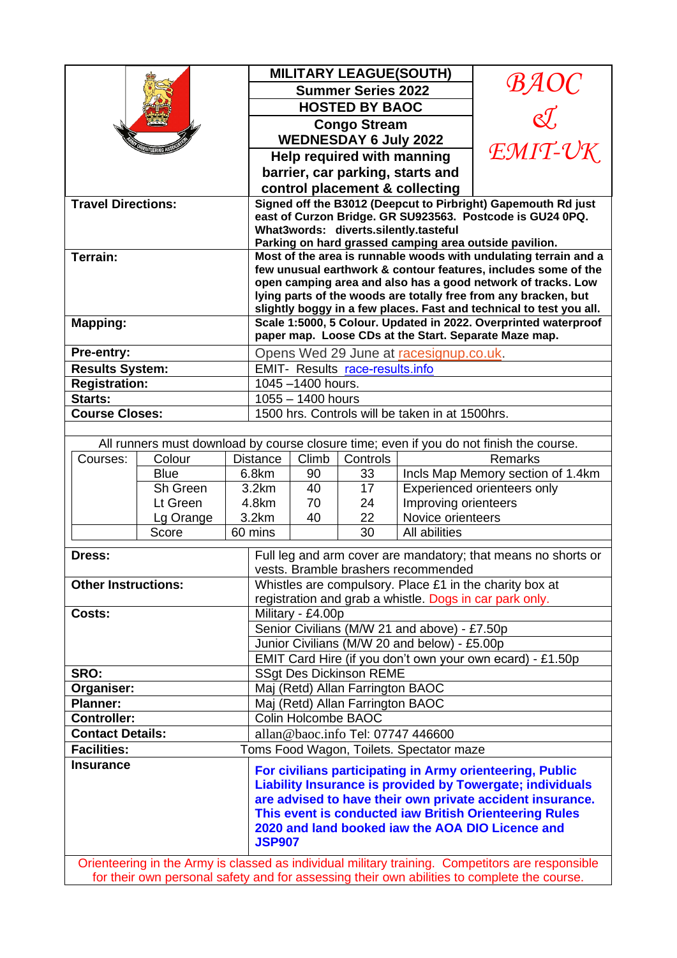|                                                                                                  |                                                                                                                              |                                          |                                                                                                                                        |          | <b>MILITARY LEAGUE(SOUTH)</b> |                                                     |                                                                                         |  |
|--------------------------------------------------------------------------------------------------|------------------------------------------------------------------------------------------------------------------------------|------------------------------------------|----------------------------------------------------------------------------------------------------------------------------------------|----------|-------------------------------|-----------------------------------------------------|-----------------------------------------------------------------------------------------|--|
|                                                                                                  |                                                                                                                              |                                          | <b>Summer Series 2022</b>                                                                                                              |          |                               |                                                     |                                                                                         |  |
|                                                                                                  |                                                                                                                              |                                          | <b>HOSTED BY BAOC</b>                                                                                                                  |          |                               |                                                     |                                                                                         |  |
|                                                                                                  |                                                                                                                              |                                          | BAOC<br>L<br><b>Congo Stream</b>                                                                                                       |          |                               |                                                     |                                                                                         |  |
|                                                                                                  |                                                                                                                              |                                          | <b>WEDNESDAY 6 July 2022</b>                                                                                                           |          |                               |                                                     |                                                                                         |  |
|                                                                                                  |                                                                                                                              |                                          | EMIT-UK<br>Help required with manning                                                                                                  |          |                               |                                                     |                                                                                         |  |
|                                                                                                  |                                                                                                                              |                                          | barrier, car parking, starts and                                                                                                       |          |                               |                                                     |                                                                                         |  |
|                                                                                                  |                                                                                                                              |                                          | control placement & collecting                                                                                                         |          |                               |                                                     |                                                                                         |  |
| <b>Travel Directions:</b>                                                                        |                                                                                                                              |                                          | Signed off the B3012 (Deepcut to Pirbright) Gapemouth Rd just                                                                          |          |                               |                                                     |                                                                                         |  |
|                                                                                                  |                                                                                                                              |                                          | east of Curzon Bridge. GR SU923563. Postcode is GU24 0PQ.                                                                              |          |                               |                                                     |                                                                                         |  |
|                                                                                                  |                                                                                                                              |                                          | What3words: diverts.silently.tasteful<br>Parking on hard grassed camping area outside pavilion.                                        |          |                               |                                                     |                                                                                         |  |
| Terrain:                                                                                         |                                                                                                                              |                                          | Most of the area is runnable woods with undulating terrain and a                                                                       |          |                               |                                                     |                                                                                         |  |
|                                                                                                  |                                                                                                                              |                                          | few unusual earthwork & contour features, includes some of the                                                                         |          |                               |                                                     |                                                                                         |  |
|                                                                                                  |                                                                                                                              |                                          | open camping area and also has a good network of tracks. Low                                                                           |          |                               |                                                     |                                                                                         |  |
|                                                                                                  |                                                                                                                              |                                          | lying parts of the woods are totally free from any bracken, but                                                                        |          |                               |                                                     |                                                                                         |  |
|                                                                                                  |                                                                                                                              |                                          | slightly boggy in a few places. Fast and technical to test you all.<br>Scale 1:5000, 5 Colour. Updated in 2022. Overprinted waterproof |          |                               |                                                     |                                                                                         |  |
| <b>Mapping:</b>                                                                                  |                                                                                                                              |                                          | paper map. Loose CDs at the Start. Separate Maze map.                                                                                  |          |                               |                                                     |                                                                                         |  |
| Pre-entry:                                                                                       |                                                                                                                              |                                          | Opens Wed 29 June at racesignup.co.uk.                                                                                                 |          |                               |                                                     |                                                                                         |  |
| <b>Results System:</b>                                                                           |                                                                                                                              |                                          | <b>EMIT- Results race-results.info</b>                                                                                                 |          |                               |                                                     |                                                                                         |  |
| <b>Registration:</b>                                                                             |                                                                                                                              |                                          | 1045-1400 hours.                                                                                                                       |          |                               |                                                     |                                                                                         |  |
| Starts:                                                                                          |                                                                                                                              |                                          | $1055 - 1400$ hours                                                                                                                    |          |                               |                                                     |                                                                                         |  |
| <b>Course Closes:</b>                                                                            |                                                                                                                              |                                          | 1500 hrs. Controls will be taken in at 1500hrs.                                                                                        |          |                               |                                                     |                                                                                         |  |
|                                                                                                  |                                                                                                                              |                                          |                                                                                                                                        |          |                               |                                                     |                                                                                         |  |
|                                                                                                  |                                                                                                                              |                                          |                                                                                                                                        |          |                               |                                                     | All runners must download by course closure time; even if you do not finish the course. |  |
| Courses:                                                                                         | Colour                                                                                                                       |                                          | <b>Distance</b>                                                                                                                        | Climb    | Controls                      |                                                     | Remarks                                                                                 |  |
|                                                                                                  | <b>Blue</b>                                                                                                                  |                                          | 6.8km                                                                                                                                  | 90       | 33                            |                                                     | Incls Map Memory section of 1.4km                                                       |  |
| Sh Green                                                                                         |                                                                                                                              |                                          | 3.2km                                                                                                                                  | 40       | 17                            | Experienced orienteers only<br>Improving orienteers |                                                                                         |  |
|                                                                                                  | Lt Green                                                                                                                     |                                          | 4.8km<br>3.2km                                                                                                                         | 70<br>40 | 24<br>22                      | Novice orienteers                                   |                                                                                         |  |
|                                                                                                  | Lg Orange<br>Score                                                                                                           |                                          | 60 mins                                                                                                                                |          | 30                            | All abilities                                       |                                                                                         |  |
|                                                                                                  |                                                                                                                              |                                          |                                                                                                                                        |          |                               |                                                     |                                                                                         |  |
| Dress:                                                                                           |                                                                                                                              |                                          | Full leg and arm cover are mandatory; that means no shorts or<br>vests. Bramble brashers recommended                                   |          |                               |                                                     |                                                                                         |  |
| <b>Other Instructions:</b>                                                                       |                                                                                                                              |                                          | Whistles are compulsory. Place £1 in the charity box at                                                                                |          |                               |                                                     |                                                                                         |  |
|                                                                                                  |                                                                                                                              |                                          | registration and grab a whistle. Dogs in car park only.                                                                                |          |                               |                                                     |                                                                                         |  |
| Costs:                                                                                           |                                                                                                                              |                                          | Military - £4.00p                                                                                                                      |          |                               |                                                     |                                                                                         |  |
|                                                                                                  |                                                                                                                              |                                          | Senior Civilians (M/W 21 and above) - £7.50p                                                                                           |          |                               |                                                     |                                                                                         |  |
|                                                                                                  |                                                                                                                              |                                          | Junior Civilians (M/W 20 and below) - £5.00p                                                                                           |          |                               |                                                     |                                                                                         |  |
|                                                                                                  |                                                                                                                              |                                          | EMIT Card Hire (if you don't own your own ecard) - £1.50p                                                                              |          |                               |                                                     |                                                                                         |  |
| SRO:                                                                                             |                                                                                                                              |                                          | <b>SSgt Des Dickinson REME</b>                                                                                                         |          |                               |                                                     |                                                                                         |  |
| Organiser:                                                                                       |                                                                                                                              |                                          | Maj (Retd) Allan Farrington BAOC                                                                                                       |          |                               |                                                     |                                                                                         |  |
| <b>Planner:</b>                                                                                  |                                                                                                                              |                                          | Maj (Retd) Allan Farrington BAOC                                                                                                       |          |                               |                                                     |                                                                                         |  |
| <b>Controller:</b>                                                                               | Colin Holcombe BAOC                                                                                                          |                                          |                                                                                                                                        |          |                               |                                                     |                                                                                         |  |
| <b>Contact Details:</b>                                                                          | allan@baoc.info Tel: 07747 446600                                                                                            |                                          |                                                                                                                                        |          |                               |                                                     |                                                                                         |  |
| <b>Facilities:</b>                                                                               |                                                                                                                              | Toms Food Wagon, Toilets. Spectator maze |                                                                                                                                        |          |                               |                                                     |                                                                                         |  |
| <b>Insurance</b>                                                                                 | For civilians participating in Army orienteering, Public<br><b>Liability Insurance is provided by Towergate; individuals</b> |                                          |                                                                                                                                        |          |                               |                                                     |                                                                                         |  |
|                                                                                                  | are advised to have their own private accident insurance.                                                                    |                                          |                                                                                                                                        |          |                               |                                                     |                                                                                         |  |
|                                                                                                  | This event is conducted iaw British Orienteering Rules<br>2020 and land booked jaw the AOA DIO Licence and<br><b>JSP907</b>  |                                          |                                                                                                                                        |          |                               |                                                     |                                                                                         |  |
| Orienteering in the Army is classed as individual military training. Competitors are responsible |                                                                                                                              |                                          |                                                                                                                                        |          |                               |                                                     |                                                                                         |  |
| for their own personal safety and for assessing their own abilities to complete the course.      |                                                                                                                              |                                          |                                                                                                                                        |          |                               |                                                     |                                                                                         |  |